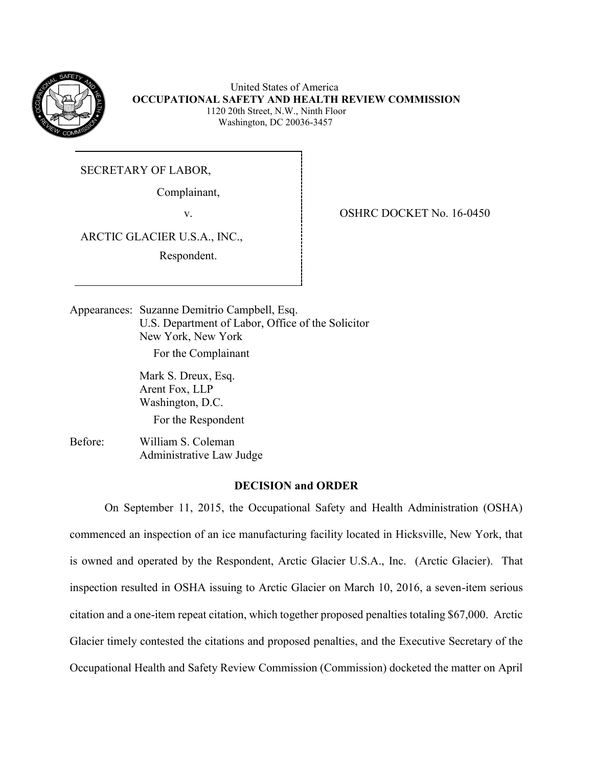

 United States of America  **OCCUPATIONAL SAFETY AND HEALTH REVIEW COMMISSION** 1120 20th Street, N.W., Ninth Floor Washington, DC 20036-3457

SECRETARY OF LABOR,

Complainant,

ARCTIC GLACIER U.S.A., INC.,

Respondent.

v. 6-0450

Appearances: Suzanne Demitrio Campbell, Esq. U.S. Department of Labor, Office of the Solicitor New York, New York

For the Complainant

Mark S. Dreux, Esq. Arent Fox, LLP Washington, D.C.

For the Respondent

Before: William S. Coleman Administrative Law Judge

# **DECISION and ORDER**

On September 11, 2015, the Occupational Safety and Health Administration (OSHA) commenced an inspection of an ice manufacturing facility located in Hicksville, New York, that is owned and operated by the Respondent, Arctic Glacier U.S.A., Inc. (Arctic Glacier). That inspection resulted in OSHA issuing to Arctic Glacier on March 10, 2016, a seven-item serious citation and a one-item repeat citation, which together proposed penalties totaling \$67,000. Arctic Glacier timely contested the citations and proposed penalties, and the Executive Secretary of the Occupational Health and Safety Review Commission (Commission) docketed the matter on April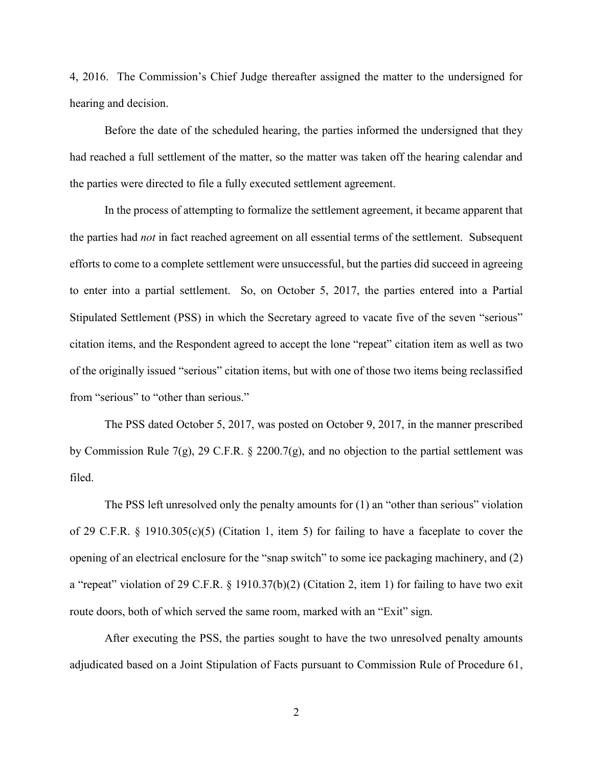4, 2016. The Commission's Chief Judge thereafter assigned the matter to the undersigned for hearing and decision.

Before the date of the scheduled hearing, the parties informed the undersigned that they had reached a full settlement of the matter, so the matter was taken off the hearing calendar and the parties were directed to file a fully executed settlement agreement.

In the process of attempting to formalize the settlement agreement, it became apparent that the parties had *not* in fact reached agreement on all essential terms of the settlement. Subsequent efforts to come to a complete settlement were unsuccessful, but the parties did succeed in agreeing to enter into a partial settlement. So, on October 5, 2017, the parties entered into a Partial Stipulated Settlement (PSS) in which the Secretary agreed to vacate five of the seven "serious" citation items, and the Respondent agreed to accept the lone "repeat" citation item as well as two of the originally issued "serious" citation items, but with one of those two items being reclassified from "serious" to "other than serious."

The PSS dated October 5, 2017, was posted on October 9, 2017, in the manner prescribed by Commission Rule 7(g), 29 C.F.R. § 2200.7(g), and no objection to the partial settlement was filed.

The PSS left unresolved only the penalty amounts for (1) an "other than serious" violation of 29 C.F.R. § 1910.305(c)(5) (Citation 1, item 5) for failing to have a faceplate to cover the opening of an electrical enclosure for the "snap switch" to some ice packaging machinery, and (2) a "repeat" violation of 29 C.F.R. § 1910.37(b)(2) (Citation 2, item 1) for failing to have two exit route doors, both of which served the same room, marked with an "Exit" sign.

After executing the PSS, the parties sought to have the two unresolved penalty amounts adjudicated based on a Joint Stipulation of Facts pursuant to Commission Rule of Procedure 61,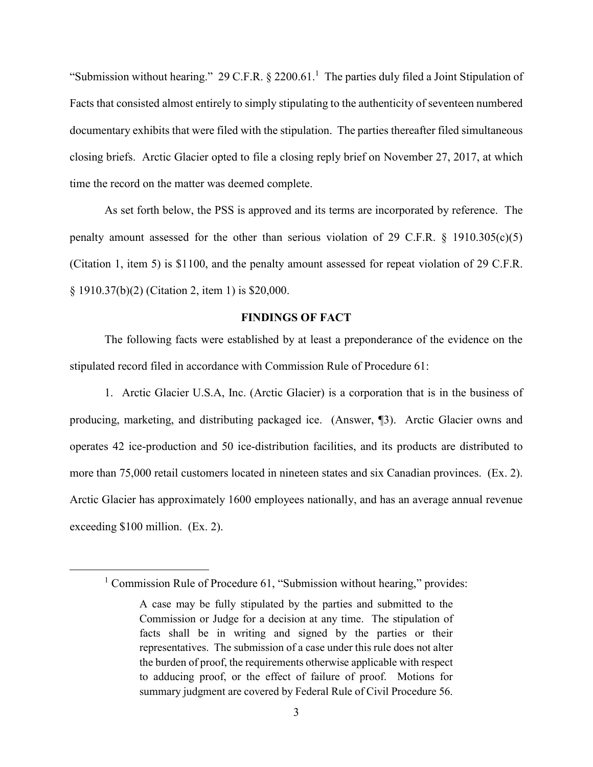"Submission without hearing." 29 C.F.R.  $\S$  2200.61.<sup>1</sup> The parties duly filed a Joint Stipulation of Facts that consisted almost entirely to simply stipulating to the authenticity of seventeen numbered documentary exhibits that were filed with the stipulation. The parties thereafter filed simultaneous closing briefs. Arctic Glacier opted to file a closing reply brief on November 27, 2017, at which time the record on the matter was deemed complete.

As set forth below, the PSS is approved and its terms are incorporated by reference. The penalty amount assessed for the other than serious violation of 29 C.F.R.  $\S$  1910.305(c)(5) (Citation 1, item 5) is \$1100, and the penalty amount assessed for repeat violation of 29 C.F.R. § 1910.37(b)(2) (Citation 2, item 1) is \$20,000.

### **FINDINGS OF FACT**

The following facts were established by at least a preponderance of the evidence on the stipulated record filed in accordance with Commission Rule of Procedure 61:

1. Arctic Glacier U.S.A, Inc. (Arctic Glacier) is a corporation that is in the business of producing, marketing, and distributing packaged ice. (Answer, ¶3). Arctic Glacier owns and operates 42 ice-production and 50 ice-distribution facilities, and its products are distributed to more than 75,000 retail customers located in nineteen states and six Canadian provinces. (Ex. 2). Arctic Glacier has approximately 1600 employees nationally, and has an average annual revenue exceeding \$100 million. (Ex. 2).

<sup>&</sup>lt;sup>1</sup> Commission Rule of Procedure 61, "Submission without hearing," provides:

A case may be fully stipulated by the parties and submitted to the Commission or Judge for a decision at any time. The stipulation of facts shall be in writing and signed by the parties or their representatives. The submission of a case under this rule does not alter the burden of proof, the requirements otherwise applicable with respect to adducing proof, or the effect of failure of proof. Motions for summary judgment are covered by Federal Rule of Civil Procedure 56.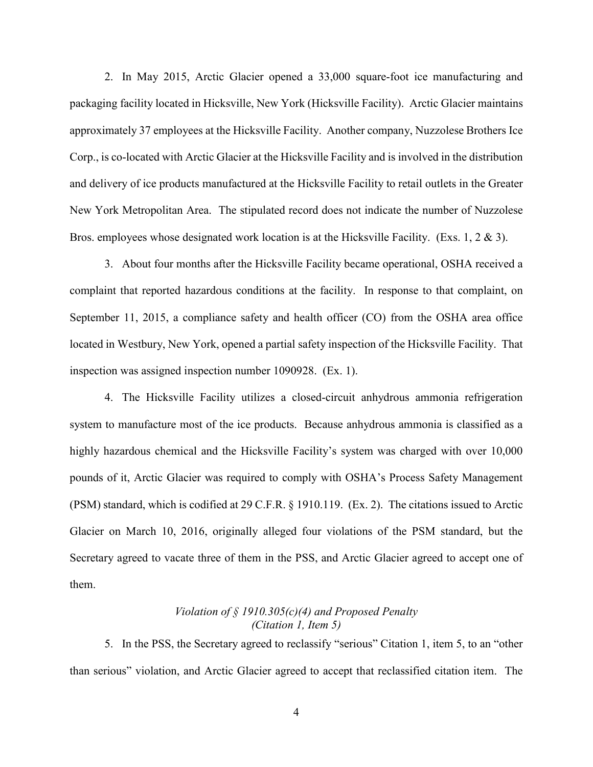2. In May 2015, Arctic Glacier opened a 33,000 square-foot ice manufacturing and packaging facility located in Hicksville, New York (Hicksville Facility). Arctic Glacier maintains approximately 37 employees at the Hicksville Facility. Another company, Nuzzolese Brothers Ice Corp., is co-located with Arctic Glacier at the Hicksville Facility and is involved in the distribution and delivery of ice products manufactured at the Hicksville Facility to retail outlets in the Greater New York Metropolitan Area. The stipulated record does not indicate the number of Nuzzolese Bros. employees whose designated work location is at the Hicksville Facility. (Exs. 1, 2 & 3).

3. About four months after the Hicksville Facility became operational, OSHA received a complaint that reported hazardous conditions at the facility. In response to that complaint, on September 11, 2015, a compliance safety and health officer (CO) from the OSHA area office located in Westbury, New York, opened a partial safety inspection of the Hicksville Facility. That inspection was assigned inspection number 1090928. (Ex. 1).

4. The Hicksville Facility utilizes a closed-circuit anhydrous ammonia refrigeration system to manufacture most of the ice products. Because anhydrous ammonia is classified as a highly hazardous chemical and the Hicksville Facility's system was charged with over 10,000 pounds of it, Arctic Glacier was required to comply with OSHA's Process Safety Management (PSM) standard, which is codified at 29 C.F.R. § 1910.119. (Ex. 2). The citations issued to Arctic Glacier on March 10, 2016, originally alleged four violations of the PSM standard, but the Secretary agreed to vacate three of them in the PSS, and Arctic Glacier agreed to accept one of them.

# *Violation of § 1910.305(c)(4) and Proposed Penalty (Citation 1, Item 5)*

5. In the PSS, the Secretary agreed to reclassify "serious" Citation 1, item 5, to an "other than serious" violation, and Arctic Glacier agreed to accept that reclassified citation item. The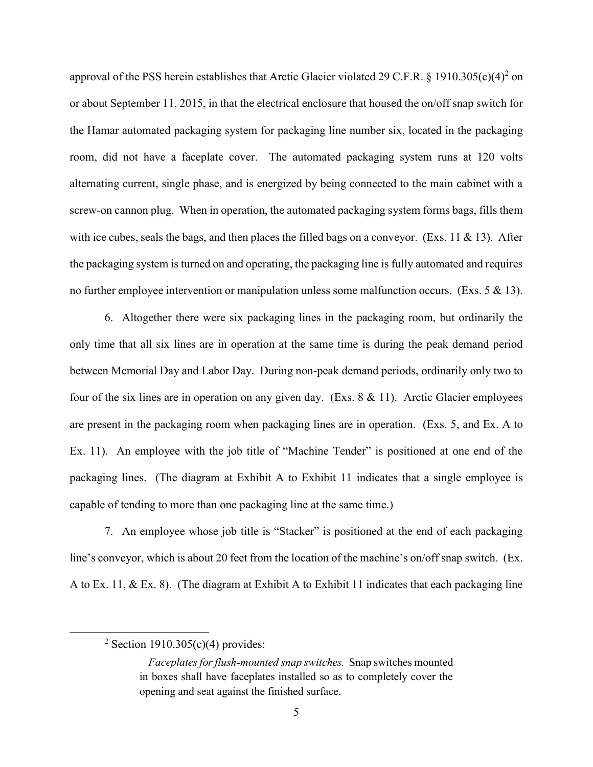approval of the PSS herein establishes that Arctic Glacier violated 29 C.F.R. § 1910.305(c)(4)<sup>2</sup> on or about September 11, 2015, in that the electrical enclosure that housed the on/off snap switch for the Hamar automated packaging system for packaging line number six, located in the packaging room, did not have a faceplate cover. The automated packaging system runs at 120 volts alternating current, single phase, and is energized by being connected to the main cabinet with a screw-on cannon plug. When in operation, the automated packaging system forms bags, fills them with ice cubes, seals the bags, and then places the filled bags on a conveyor. (Exs. 11 & 13). After the packaging system is turned on and operating, the packaging line is fully automated and requires no further employee intervention or manipulation unless some malfunction occurs. (Exs. 5 & 13).

6. Altogether there were six packaging lines in the packaging room, but ordinarily the only time that all six lines are in operation at the same time is during the peak demand period between Memorial Day and Labor Day. During non-peak demand periods, ordinarily only two to four of the six lines are in operation on any given day. (Exs. 8 & 11). Arctic Glacier employees are present in the packaging room when packaging lines are in operation. (Exs. 5, and Ex. A to Ex. 11). An employee with the job title of "Machine Tender" is positioned at one end of the packaging lines. (The diagram at Exhibit A to Exhibit 11 indicates that a single employee is capable of tending to more than one packaging line at the same time.)

7. An employee whose job title is "Stacker" is positioned at the end of each packaging line's conveyor, which is about 20 feet from the location of the machine's on/off snap switch. (Ex. A to Ex. 11, & Ex. 8). (The diagram at Exhibit A to Exhibit 11 indicates that each packaging line

<sup>&</sup>lt;sup>2</sup> Section 1910.305(c)(4) provides:

*Faceplates for flush-mounted snap switches.* Snap switches mounted in boxes shall have faceplates installed so as to completely cover the opening and seat against the finished surface.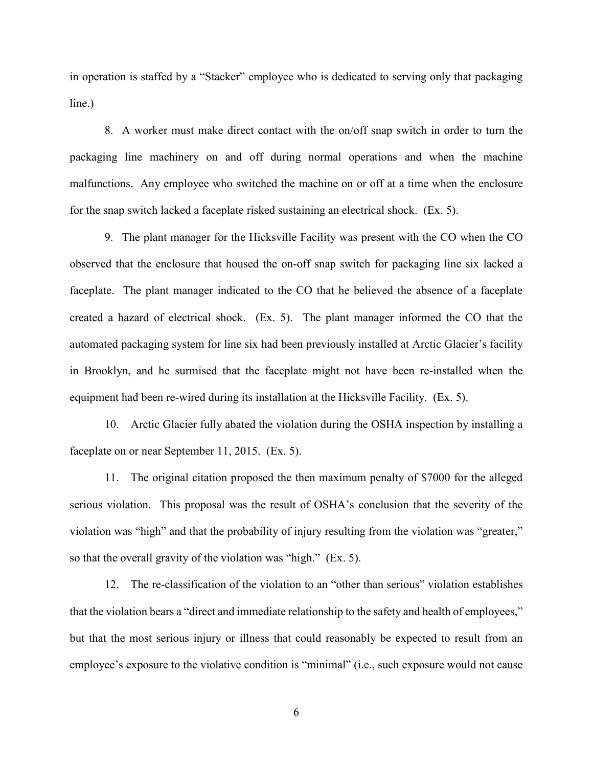in operation is staffed by a "Stacker" employee who is dedicated to serving only that packaging line.)

8. A worker must make direct contact with the on/off snap switch in order to turn the packaging line machinery on and off during normal operations and when the machine malfunctions. Any employee who switched the machine on or off at a time when the enclosure for the snap switch lacked a faceplate risked sustaining an electrical shock. (Ex. 5).

9. The plant manager for the Hicksville Facility was present with the CO when the CO observed that the enclosure that housed the on-off snap switch for packaging line six lacked a faceplate. The plant manager indicated to the CO that he believed the absence of a faceplate created a hazard of electrical shock. (Ex. 5). The plant manager informed the CO that the automated packaging system for line six had been previously installed at Arctic Glacier's facility in Brooklyn, and he surmised that the faceplate might not have been re-installed when the equipment had been re-wired during its installation at the Hicksville Facility. (Ex. 5).

10. Arctic Glacier fully abated the violation during the OSHA inspection by installing a faceplate on or near September 11, 2015. (Ex. 5).

11. The original citation proposed the then maximum penalty of \$7000 for the alleged serious violation. This proposal was the result of OSHA's conclusion that the severity of the violation was "high" and that the probability of injury resulting from the violation was "greater," so that the overall gravity of the violation was "high." (Ex. 5).

12. The re-classification of the violation to an "other than serious" violation establishes that the violation bears a "direct and immediate relationship to the safety and health of employees," but that the most serious injury or illness that could reasonably be expected to result from an employee's exposure to the violative condition is "minimal" (i.e., such exposure would not cause

6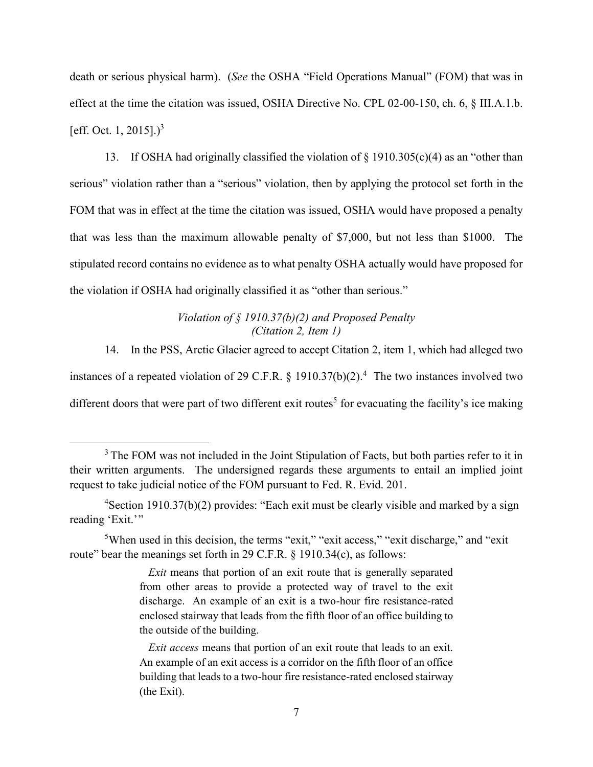death or serious physical harm). (*See* the OSHA "Field Operations Manual" (FOM) that was in effect at the time the citation was issued, OSHA Directive No. CPL 02-00-150, ch. 6, § III.A.1.b. [eff. Oct. 1, 2015]. $)^3$ 

13. If OSHA had originally classified the violation of § 1910.305(c)(4) as an "other than serious" violation rather than a "serious" violation, then by applying the protocol set forth in the FOM that was in effect at the time the citation was issued, OSHA would have proposed a penalty that was less than the maximum allowable penalty of \$7,000, but not less than \$1000. The stipulated record contains no evidence as to what penalty OSHA actually would have proposed for the violation if OSHA had originally classified it as "other than serious."

> *Violation of § 1910.37(b)(2) and Proposed Penalty (Citation 2, Item 1)*

14. In the PSS, Arctic Glacier agreed to accept Citation 2, item 1, which had alleged two instances of a repeated violation of 29 C.F.R.  $\S$  1910.37(b)(2).<sup>4</sup> The two instances involved two different doors that were part of two different exit routes<sup>5</sup> for evacuating the facility's ice making

<sup>&</sup>lt;sup>3</sup> The FOM was not included in the Joint Stipulation of Facts, but both parties refer to it in their written arguments. The undersigned regards these arguments to entail an implied joint request to take judicial notice of the FOM pursuant to Fed. R. Evid. 201.

 $4$ Section 1910.37(b)(2) provides: "Each exit must be clearly visible and marked by a sign reading 'Exit.'"

<sup>&</sup>lt;sup>5</sup>When used in this decision, the terms "exit," "exit access," "exit discharge," and "exit" route" bear the meanings set forth in 29 C.F.R. § 1910.34(c), as follows:

*Exit* means that portion of an exit route that is generally separated from other areas to provide a protected way of travel to the exit discharge. An example of an exit is a two-hour fire resistance-rated enclosed stairway that leads from the fifth floor of an office building to the outside of the building.

*Exit access* means that portion of an exit route that leads to an exit. An example of an exit access is a corridor on the fifth floor of an office building that leads to a two-hour fire resistance-rated enclosed stairway (the Exit).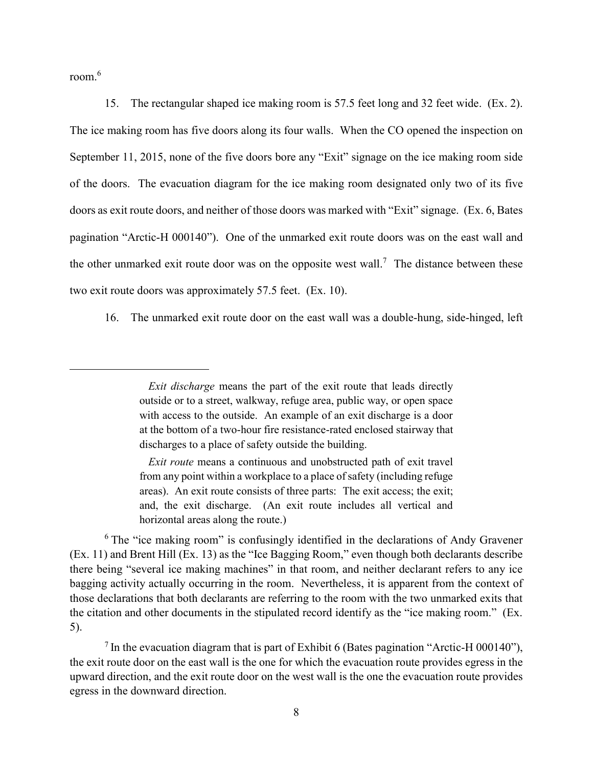room. 6

 $\overline{a}$ 

15. The rectangular shaped ice making room is 57.5 feet long and 32 feet wide. (Ex. 2). The ice making room has five doors along its four walls. When the CO opened the inspection on September 11, 2015, none of the five doors bore any "Exit" signage on the ice making room side of the doors. The evacuation diagram for the ice making room designated only two of its five doors as exit route doors, and neither of those doors was marked with "Exit" signage. (Ex. 6, Bates pagination "Arctic-H 000140"). One of the unmarked exit route doors was on the east wall and the other unmarked exit route door was on the opposite west wall.<sup>7</sup> The distance between these two exit route doors was approximately 57.5 feet. (Ex. 10).

16. The unmarked exit route door on the east wall was a double-hung, side-hinged, left

*Exit route* means a continuous and unobstructed path of exit travel from any point within a workplace to a place of safety (including refuge areas). An exit route consists of three parts: The exit access; the exit; and, the exit discharge. (An exit route includes all vertical and horizontal areas along the route.)

<sup>6</sup> The "ice making room" is confusingly identified in the declarations of Andy Gravener (Ex. 11) and Brent Hill (Ex. 13) as the "Ice Bagging Room," even though both declarants describe there being "several ice making machines" in that room, and neither declarant refers to any ice bagging activity actually occurring in the room. Nevertheless, it is apparent from the context of those declarations that both declarants are referring to the room with the two unmarked exits that the citation and other documents in the stipulated record identify as the "ice making room." (Ex. 5).

<sup>7</sup> In the evacuation diagram that is part of Exhibit 6 (Bates pagination "Arctic-H 000140"), the exit route door on the east wall is the one for which the evacuation route provides egress in the upward direction, and the exit route door on the west wall is the one the evacuation route provides egress in the downward direction.

*Exit discharge* means the part of the exit route that leads directly outside or to a street, walkway, refuge area, public way, or open space with access to the outside. An example of an exit discharge is a door at the bottom of a two-hour fire resistance-rated enclosed stairway that discharges to a place of safety outside the building.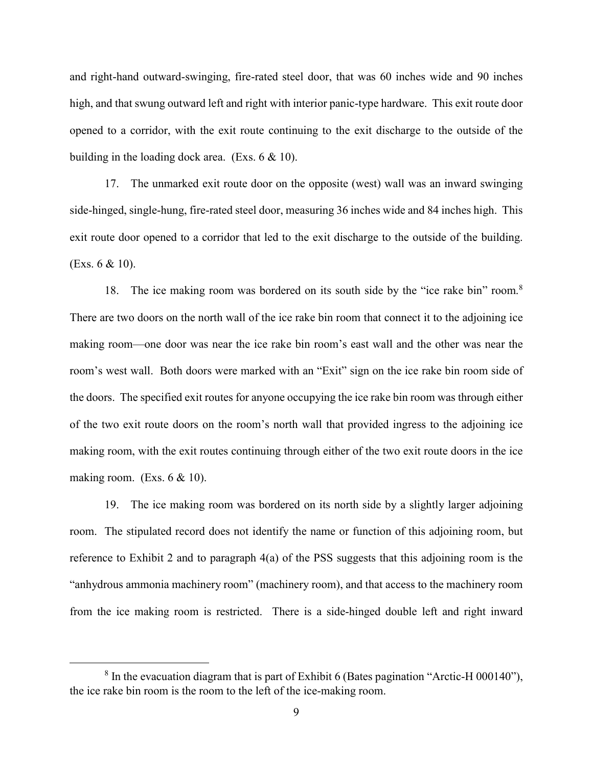and right-hand outward-swinging, fire-rated steel door, that was 60 inches wide and 90 inches high, and that swung outward left and right with interior panic-type hardware. This exit route door opened to a corridor, with the exit route continuing to the exit discharge to the outside of the building in the loading dock area. (Exs. 6 & 10).

17. The unmarked exit route door on the opposite (west) wall was an inward swinging side-hinged, single-hung, fire-rated steel door, measuring 36 inches wide and 84 inches high. This exit route door opened to a corridor that led to the exit discharge to the outside of the building. (Exs. 6 & 10).

18. The ice making room was bordered on its south side by the "ice rake bin" room.<sup>8</sup> There are two doors on the north wall of the ice rake bin room that connect it to the adjoining ice making room—one door was near the ice rake bin room's east wall and the other was near the room's west wall. Both doors were marked with an "Exit" sign on the ice rake bin room side of the doors. The specified exit routes for anyone occupying the ice rake bin room was through either of the two exit route doors on the room's north wall that provided ingress to the adjoining ice making room, with the exit routes continuing through either of the two exit route doors in the ice making room. (Exs.  $6 \& 10$ ).

19. The ice making room was bordered on its north side by a slightly larger adjoining room. The stipulated record does not identify the name or function of this adjoining room, but reference to Exhibit 2 and to paragraph 4(a) of the PSS suggests that this adjoining room is the "anhydrous ammonia machinery room" (machinery room), and that access to the machinery room from the ice making room is restricted. There is a side-hinged double left and right inward

<sup>&</sup>lt;sup>8</sup> In the evacuation diagram that is part of Exhibit 6 (Bates pagination "Arctic-H 000140"), the ice rake bin room is the room to the left of the ice-making room.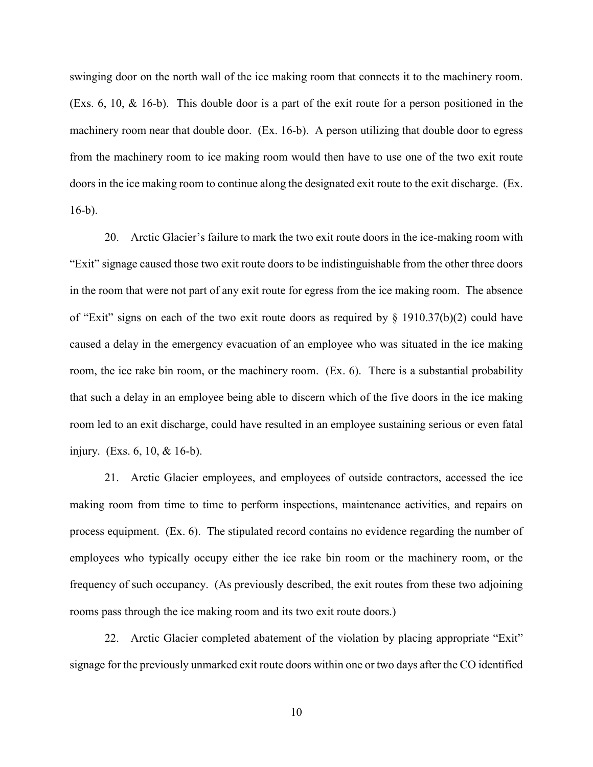swinging door on the north wall of the ice making room that connects it to the machinery room. (Exs. 6, 10, & 16-b). This double door is a part of the exit route for a person positioned in the machinery room near that double door. (Ex. 16-b). A person utilizing that double door to egress from the machinery room to ice making room would then have to use one of the two exit route doors in the ice making room to continue along the designated exit route to the exit discharge. (Ex. 16-b).

20. Arctic Glacier's failure to mark the two exit route doors in the ice-making room with "Exit" signage caused those two exit route doors to be indistinguishable from the other three doors in the room that were not part of any exit route for egress from the ice making room. The absence of "Exit" signs on each of the two exit route doors as required by § 1910.37(b)(2) could have caused a delay in the emergency evacuation of an employee who was situated in the ice making room, the ice rake bin room, or the machinery room. (Ex. 6). There is a substantial probability that such a delay in an employee being able to discern which of the five doors in the ice making room led to an exit discharge, could have resulted in an employee sustaining serious or even fatal injury. (Exs. 6, 10, & 16-b).

21. Arctic Glacier employees, and employees of outside contractors, accessed the ice making room from time to time to perform inspections, maintenance activities, and repairs on process equipment. (Ex. 6). The stipulated record contains no evidence regarding the number of employees who typically occupy either the ice rake bin room or the machinery room, or the frequency of such occupancy. (As previously described, the exit routes from these two adjoining rooms pass through the ice making room and its two exit route doors.)

22. Arctic Glacier completed abatement of the violation by placing appropriate "Exit" signage for the previously unmarked exit route doors within one or two days after the CO identified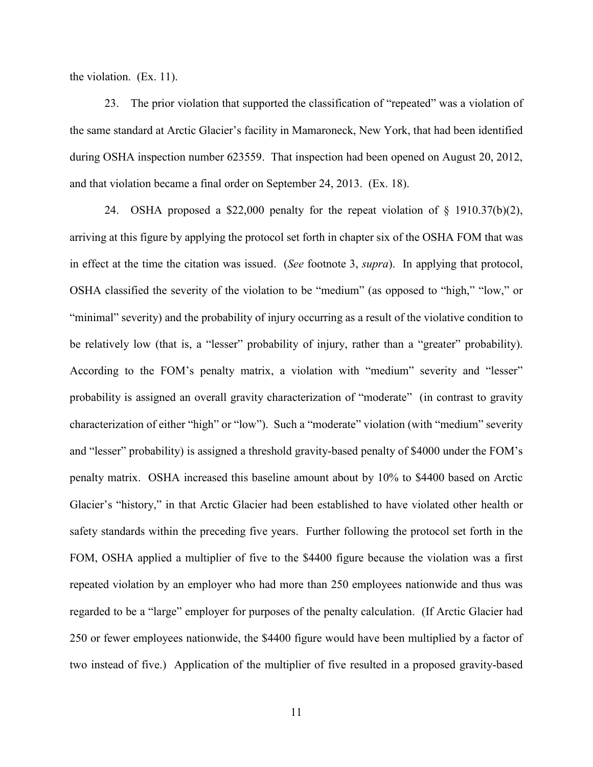the violation. (Ex. 11).

23. The prior violation that supported the classification of "repeated" was a violation of the same standard at Arctic Glacier's facility in Mamaroneck, New York, that had been identified during OSHA inspection number 623559. That inspection had been opened on August 20, 2012, and that violation became a final order on September 24, 2013. (Ex. 18).

24. OSHA proposed a \$22,000 penalty for the repeat violation of § 1910.37(b)(2), arriving at this figure by applying the protocol set forth in chapter six of the OSHA FOM that was in effect at the time the citation was issued. (*See* footnote 3, *supra*). In applying that protocol, OSHA classified the severity of the violation to be "medium" (as opposed to "high," "low," or "minimal" severity) and the probability of injury occurring as a result of the violative condition to be relatively low (that is, a "lesser" probability of injury, rather than a "greater" probability). According to the FOM's penalty matrix, a violation with "medium" severity and "lesser" probability is assigned an overall gravity characterization of "moderate" (in contrast to gravity characterization of either "high" or "low"). Such a "moderate" violation (with "medium" severity and "lesser" probability) is assigned a threshold gravity-based penalty of \$4000 under the FOM's penalty matrix. OSHA increased this baseline amount about by 10% to \$4400 based on Arctic Glacier's "history," in that Arctic Glacier had been established to have violated other health or safety standards within the preceding five years. Further following the protocol set forth in the FOM, OSHA applied a multiplier of five to the \$4400 figure because the violation was a first repeated violation by an employer who had more than 250 employees nationwide and thus was regarded to be a "large" employer for purposes of the penalty calculation. (If Arctic Glacier had 250 or fewer employees nationwide, the \$4400 figure would have been multiplied by a factor of two instead of five.) Application of the multiplier of five resulted in a proposed gravity-based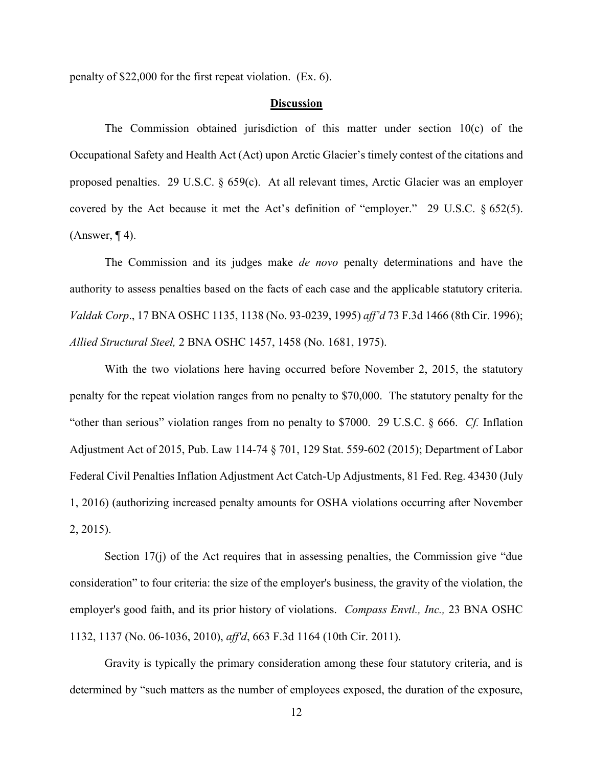penalty of \$22,000 for the first repeat violation. (Ex. 6).

### **Discussion**

The Commission obtained jurisdiction of this matter under section 10(c) of the Occupational Safety and Health Act (Act) upon Arctic Glacier's timely contest of the citations and proposed penalties. 29 U.S.C. § 659(c). At all relevant times, Arctic Glacier was an employer covered by the Act because it met the Act's definition of "employer." 29 U.S.C. § 652(5).  $(Answer, 94)$ .

The Commission and its judges make *de novo* penalty determinations and have the authority to assess penalties based on the facts of each case and the applicable statutory criteria. *Valdak Corp*., 17 BNA OSHC 1135, 1138 (No. 93-0239, 1995) *aff'd* 73 F.3d 1466 (8th Cir. 1996); *Allied Structural Steel,* 2 BNA OSHC 1457, 1458 (No. 1681, 1975).

With the two violations here having occurred before November 2, 2015, the statutory penalty for the repeat violation ranges from no penalty to \$70,000. The statutory penalty for the "other than serious" violation ranges from no penalty to \$7000. 29 U.S.C. § 666. *Cf.* Inflation Adjustment Act of 2015, Pub. Law 114-74 § 701, 129 Stat. 559-602 (2015); Department of Labor Federal Civil Penalties Inflation Adjustment Act Catch-Up Adjustments, 81 Fed. Reg. 43430 (July 1, 2016) (authorizing increased penalty amounts for OSHA violations occurring after November 2, 2015).

Section 17(j) of the Act requires that in assessing penalties, the Commission give "due consideration" to four criteria: the size of the employer's business, the gravity of the violation, the employer's good faith, and its prior history of violations. *Compass Envtl., Inc.,* 23 BNA OSHC 1132, 1137 (No. 06-1036, 2010), *aff'd*, 663 F.3d 1164 (10th Cir. 2011).

Gravity is typically the primary consideration among these four statutory criteria, and is determined by "such matters as the number of employees exposed, the duration of the exposure,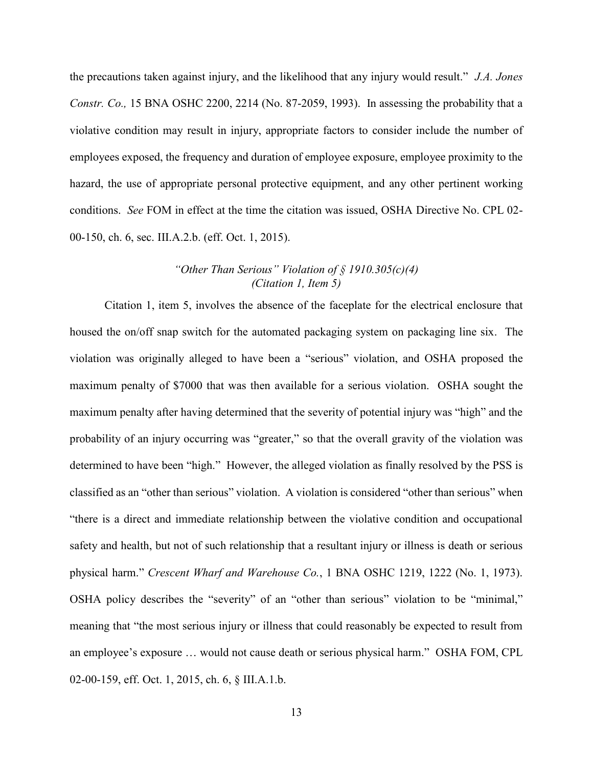the precautions taken against injury, and the likelihood that any injury would result." *J.A. Jones Constr. Co.,* 15 BNA OSHC 2200, 2214 (No. 87-2059, 1993). In assessing the probability that a violative condition may result in injury, appropriate factors to consider include the number of employees exposed, the frequency and duration of employee exposure, employee proximity to the hazard, the use of appropriate personal protective equipment, and any other pertinent working conditions. *See* FOM in effect at the time the citation was issued, OSHA Directive No. CPL 02- 00-150, ch. 6, sec. III.A.2.b. (eff. Oct. 1, 2015).

## *"Other Than Serious" Violation of § 1910.305(c)(4) (Citation 1, Item 5)*

Citation 1, item 5, involves the absence of the faceplate for the electrical enclosure that housed the on/off snap switch for the automated packaging system on packaging line six. The violation was originally alleged to have been a "serious" violation, and OSHA proposed the maximum penalty of \$7000 that was then available for a serious violation. OSHA sought the maximum penalty after having determined that the severity of potential injury was "high" and the probability of an injury occurring was "greater," so that the overall gravity of the violation was determined to have been "high." However, the alleged violation as finally resolved by the PSS is classified as an "other than serious" violation. A violation is considered "other than serious" when "there is a direct and immediate relationship between the violative condition and occupational safety and health, but not of such relationship that a resultant injury or illness is death or serious physical harm." *Crescent Wharf and Warehouse Co.*, 1 BNA OSHC 1219, 1222 (No. 1, 1973). OSHA policy describes the "severity" of an "other than serious" violation to be "minimal," meaning that "the most serious injury or illness that could reasonably be expected to result from an employee's exposure … would not cause death or serious physical harm." OSHA FOM, CPL 02-00-159, eff. Oct. 1, 2015, ch. 6, § III.A.1.b.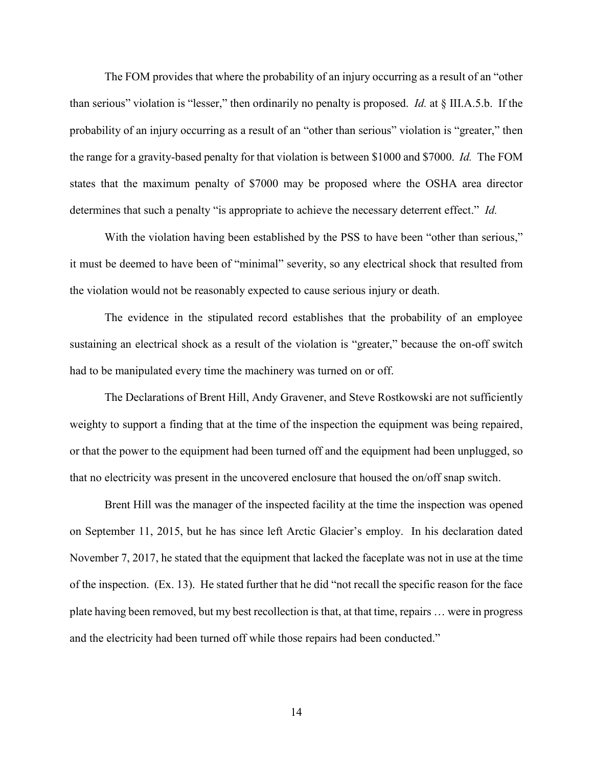The FOM provides that where the probability of an injury occurring as a result of an "other than serious" violation is "lesser," then ordinarily no penalty is proposed. *Id.* at § III.A.5.b. If the probability of an injury occurring as a result of an "other than serious" violation is "greater," then the range for a gravity-based penalty for that violation is between \$1000 and \$7000. *Id.* The FOM states that the maximum penalty of \$7000 may be proposed where the OSHA area director determines that such a penalty "is appropriate to achieve the necessary deterrent effect." *Id.*

With the violation having been established by the PSS to have been "other than serious," it must be deemed to have been of "minimal" severity, so any electrical shock that resulted from the violation would not be reasonably expected to cause serious injury or death.

The evidence in the stipulated record establishes that the probability of an employee sustaining an electrical shock as a result of the violation is "greater," because the on-off switch had to be manipulated every time the machinery was turned on or off.

The Declarations of Brent Hill, Andy Gravener, and Steve Rostkowski are not sufficiently weighty to support a finding that at the time of the inspection the equipment was being repaired, or that the power to the equipment had been turned off and the equipment had been unplugged, so that no electricity was present in the uncovered enclosure that housed the on/off snap switch.

Brent Hill was the manager of the inspected facility at the time the inspection was opened on September 11, 2015, but he has since left Arctic Glacier's employ. In his declaration dated November 7, 2017, he stated that the equipment that lacked the faceplate was not in use at the time of the inspection. (Ex. 13). He stated further that he did "not recall the specific reason for the face plate having been removed, but my best recollection is that, at that time, repairs … were in progress and the electricity had been turned off while those repairs had been conducted."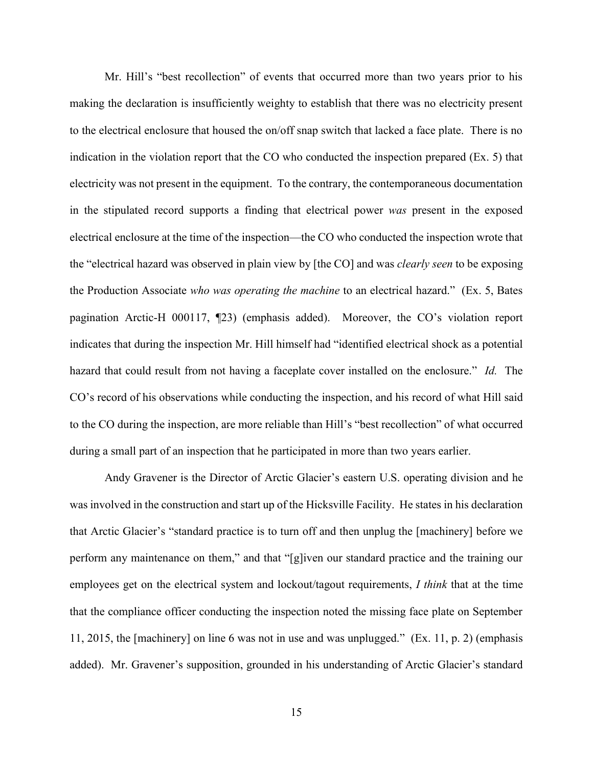Mr. Hill's "best recollection" of events that occurred more than two years prior to his making the declaration is insufficiently weighty to establish that there was no electricity present to the electrical enclosure that housed the on/off snap switch that lacked a face plate. There is no indication in the violation report that the CO who conducted the inspection prepared (Ex. 5) that electricity was not present in the equipment. To the contrary, the contemporaneous documentation in the stipulated record supports a finding that electrical power *was* present in the exposed electrical enclosure at the time of the inspection—the CO who conducted the inspection wrote that the "electrical hazard was observed in plain view by [the CO] and was *clearly seen* to be exposing the Production Associate *who was operating the machine* to an electrical hazard." (Ex. 5, Bates pagination Arctic-H 000117, ¶23) (emphasis added). Moreover, the CO's violation report indicates that during the inspection Mr. Hill himself had "identified electrical shock as a potential hazard that could result from not having a faceplate cover installed on the enclosure." *Id.* The CO's record of his observations while conducting the inspection, and his record of what Hill said to the CO during the inspection, are more reliable than Hill's "best recollection" of what occurred during a small part of an inspection that he participated in more than two years earlier.

Andy Gravener is the Director of Arctic Glacier's eastern U.S. operating division and he was involved in the construction and start up of the Hicksville Facility. He states in his declaration that Arctic Glacier's "standard practice is to turn off and then unplug the [machinery] before we perform any maintenance on them," and that "[g]iven our standard practice and the training our employees get on the electrical system and lockout/tagout requirements, *I think* that at the time that the compliance officer conducting the inspection noted the missing face plate on September 11, 2015, the [machinery] on line 6 was not in use and was unplugged." (Ex. 11, p. 2) (emphasis added). Mr. Gravener's supposition, grounded in his understanding of Arctic Glacier's standard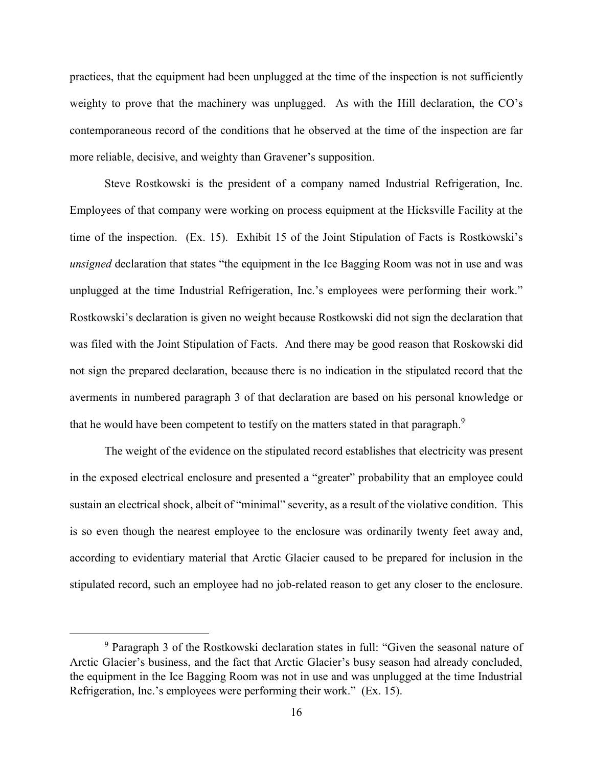practices, that the equipment had been unplugged at the time of the inspection is not sufficiently weighty to prove that the machinery was unplugged. As with the Hill declaration, the CO's contemporaneous record of the conditions that he observed at the time of the inspection are far more reliable, decisive, and weighty than Gravener's supposition.

Steve Rostkowski is the president of a company named Industrial Refrigeration, Inc. Employees of that company were working on process equipment at the Hicksville Facility at the time of the inspection. (Ex. 15). Exhibit 15 of the Joint Stipulation of Facts is Rostkowski's *unsigned* declaration that states "the equipment in the Ice Bagging Room was not in use and was unplugged at the time Industrial Refrigeration, Inc.'s employees were performing their work." Rostkowski's declaration is given no weight because Rostkowski did not sign the declaration that was filed with the Joint Stipulation of Facts. And there may be good reason that Roskowski did not sign the prepared declaration, because there is no indication in the stipulated record that the averments in numbered paragraph 3 of that declaration are based on his personal knowledge or that he would have been competent to testify on the matters stated in that paragraph. $^9$ 

The weight of the evidence on the stipulated record establishes that electricity was present in the exposed electrical enclosure and presented a "greater" probability that an employee could sustain an electrical shock, albeit of "minimal" severity, as a result of the violative condition. This is so even though the nearest employee to the enclosure was ordinarily twenty feet away and, according to evidentiary material that Arctic Glacier caused to be prepared for inclusion in the stipulated record, such an employee had no job-related reason to get any closer to the enclosure.

<sup>&</sup>lt;sup>9</sup> Paragraph 3 of the Rostkowski declaration states in full: "Given the seasonal nature of Arctic Glacier's business, and the fact that Arctic Glacier's busy season had already concluded, the equipment in the Ice Bagging Room was not in use and was unplugged at the time Industrial Refrigeration, Inc.'s employees were performing their work." (Ex. 15).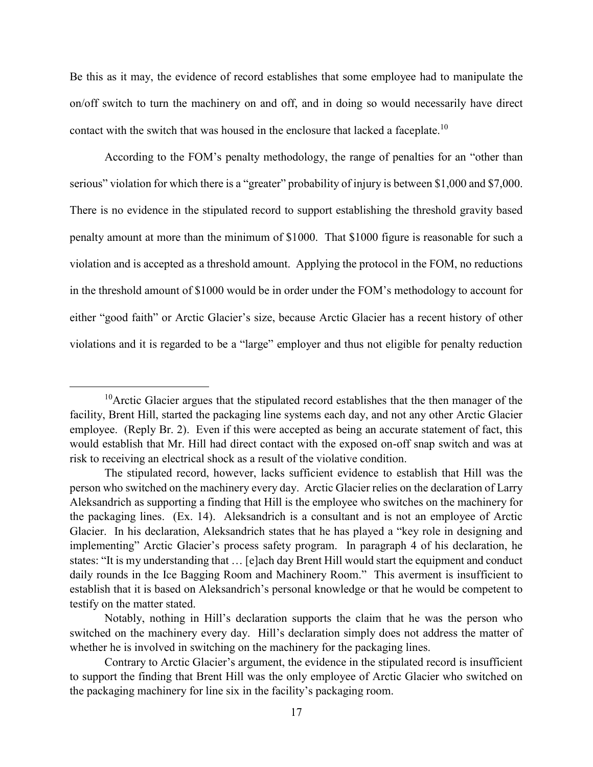Be this as it may, the evidence of record establishes that some employee had to manipulate the on/off switch to turn the machinery on and off, and in doing so would necessarily have direct contact with the switch that was housed in the enclosure that lacked a faceplate.<sup>10</sup>

According to the FOM's penalty methodology, the range of penalties for an "other than serious" violation for which there is a "greater" probability of injury is between \$1,000 and \$7,000. There is no evidence in the stipulated record to support establishing the threshold gravity based penalty amount at more than the minimum of \$1000. That \$1000 figure is reasonable for such a violation and is accepted as a threshold amount. Applying the protocol in the FOM, no reductions in the threshold amount of \$1000 would be in order under the FOM's methodology to account for either "good faith" or Arctic Glacier's size, because Arctic Glacier has a recent history of other violations and it is regarded to be a "large" employer and thus not eligible for penalty reduction

 $10$ Arctic Glacier argues that the stipulated record establishes that the then manager of the facility, Brent Hill, started the packaging line systems each day, and not any other Arctic Glacier employee. (Reply Br. 2). Even if this were accepted as being an accurate statement of fact, this would establish that Mr. Hill had direct contact with the exposed on-off snap switch and was at risk to receiving an electrical shock as a result of the violative condition.

The stipulated record, however, lacks sufficient evidence to establish that Hill was the person who switched on the machinery every day. Arctic Glacier relies on the declaration of Larry Aleksandrich as supporting a finding that Hill is the employee who switches on the machinery for the packaging lines. (Ex. 14). Aleksandrich is a consultant and is not an employee of Arctic Glacier. In his declaration, Aleksandrich states that he has played a "key role in designing and implementing" Arctic Glacier's process safety program. In paragraph 4 of his declaration, he states: "It is my understanding that … [e]ach day Brent Hill would start the equipment and conduct daily rounds in the Ice Bagging Room and Machinery Room." This averment is insufficient to establish that it is based on Aleksandrich's personal knowledge or that he would be competent to testify on the matter stated.

Notably, nothing in Hill's declaration supports the claim that he was the person who switched on the machinery every day. Hill's declaration simply does not address the matter of whether he is involved in switching on the machinery for the packaging lines.

Contrary to Arctic Glacier's argument, the evidence in the stipulated record is insufficient to support the finding that Brent Hill was the only employee of Arctic Glacier who switched on the packaging machinery for line six in the facility's packaging room.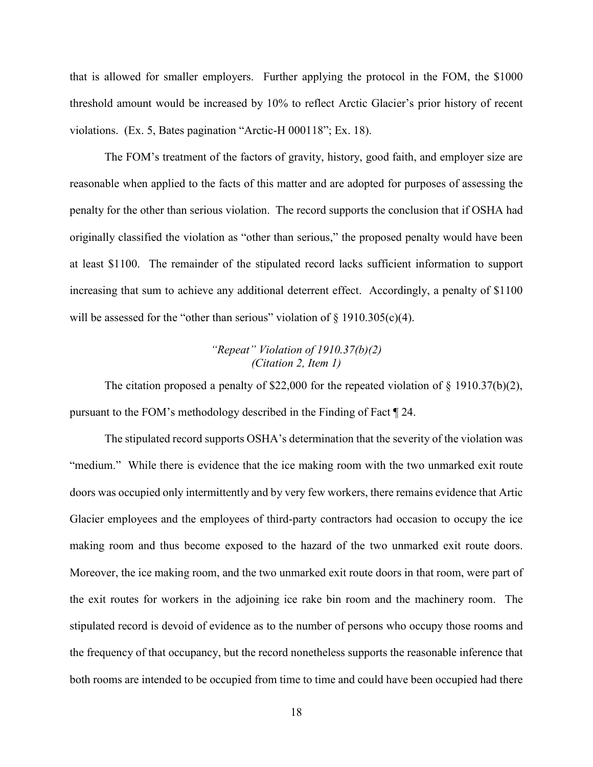that is allowed for smaller employers. Further applying the protocol in the FOM, the \$1000 threshold amount would be increased by 10% to reflect Arctic Glacier's prior history of recent violations. (Ex. 5, Bates pagination "Arctic-H 000118"; Ex. 18).

The FOM's treatment of the factors of gravity, history, good faith, and employer size are reasonable when applied to the facts of this matter and are adopted for purposes of assessing the penalty for the other than serious violation. The record supports the conclusion that if OSHA had originally classified the violation as "other than serious," the proposed penalty would have been at least \$1100. The remainder of the stipulated record lacks sufficient information to support increasing that sum to achieve any additional deterrent effect. Accordingly, a penalty of \$1100 will be assessed for the "other than serious" violation of  $\S$  1910.305(c)(4).

## *"Repeat" Violation of 1910.37(b)(2) (Citation 2, Item 1)*

The citation proposed a penalty of \$22,000 for the repeated violation of  $\S$  1910.37(b)(2), pursuant to the FOM's methodology described in the Finding of Fact ¶ 24.

The stipulated record supports OSHA's determination that the severity of the violation was "medium." While there is evidence that the ice making room with the two unmarked exit route doors was occupied only intermittently and by very few workers, there remains evidence that Artic Glacier employees and the employees of third-party contractors had occasion to occupy the ice making room and thus become exposed to the hazard of the two unmarked exit route doors. Moreover, the ice making room, and the two unmarked exit route doors in that room, were part of the exit routes for workers in the adjoining ice rake bin room and the machinery room. The stipulated record is devoid of evidence as to the number of persons who occupy those rooms and the frequency of that occupancy, but the record nonetheless supports the reasonable inference that both rooms are intended to be occupied from time to time and could have been occupied had there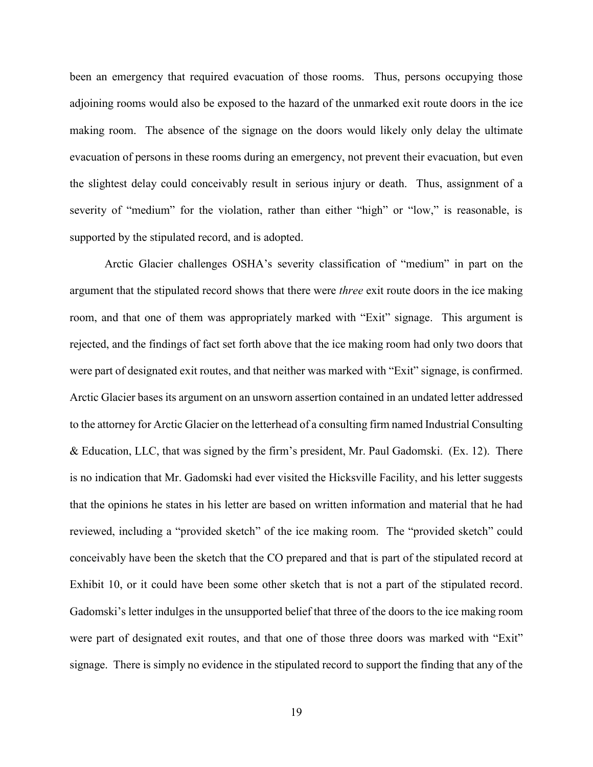been an emergency that required evacuation of those rooms. Thus, persons occupying those adjoining rooms would also be exposed to the hazard of the unmarked exit route doors in the ice making room. The absence of the signage on the doors would likely only delay the ultimate evacuation of persons in these rooms during an emergency, not prevent their evacuation, but even the slightest delay could conceivably result in serious injury or death. Thus, assignment of a severity of "medium" for the violation, rather than either "high" or "low," is reasonable, is supported by the stipulated record, and is adopted.

Arctic Glacier challenges OSHA's severity classification of "medium" in part on the argument that the stipulated record shows that there were *three* exit route doors in the ice making room, and that one of them was appropriately marked with "Exit" signage. This argument is rejected, and the findings of fact set forth above that the ice making room had only two doors that were part of designated exit routes, and that neither was marked with "Exit" signage, is confirmed. Arctic Glacier bases its argument on an unsworn assertion contained in an undated letter addressed to the attorney for Arctic Glacier on the letterhead of a consulting firm named Industrial Consulting & Education, LLC, that was signed by the firm's president, Mr. Paul Gadomski. (Ex. 12). There is no indication that Mr. Gadomski had ever visited the Hicksville Facility, and his letter suggests that the opinions he states in his letter are based on written information and material that he had reviewed, including a "provided sketch" of the ice making room. The "provided sketch" could conceivably have been the sketch that the CO prepared and that is part of the stipulated record at Exhibit 10, or it could have been some other sketch that is not a part of the stipulated record. Gadomski's letter indulges in the unsupported belief that three of the doors to the ice making room were part of designated exit routes, and that one of those three doors was marked with "Exit" signage. There is simply no evidence in the stipulated record to support the finding that any of the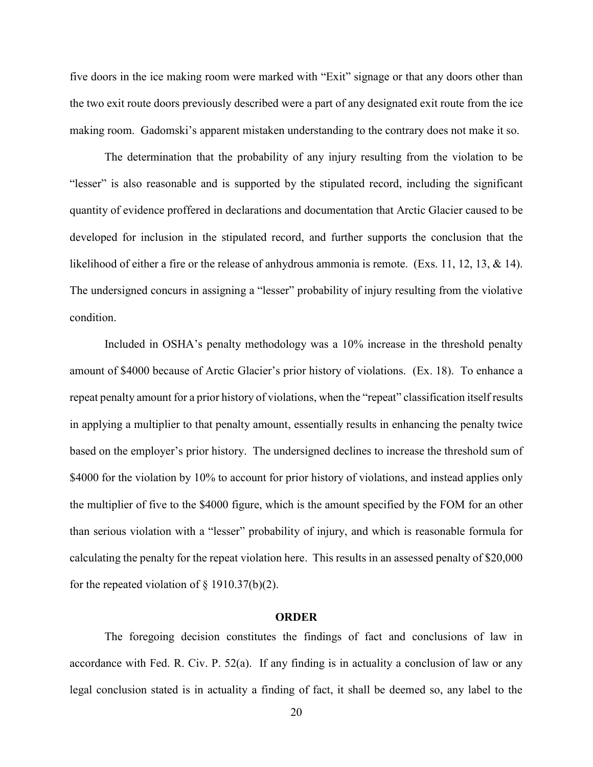five doors in the ice making room were marked with "Exit" signage or that any doors other than the two exit route doors previously described were a part of any designated exit route from the ice making room. Gadomski's apparent mistaken understanding to the contrary does not make it so.

The determination that the probability of any injury resulting from the violation to be "lesser" is also reasonable and is supported by the stipulated record, including the significant quantity of evidence proffered in declarations and documentation that Arctic Glacier caused to be developed for inclusion in the stipulated record, and further supports the conclusion that the likelihood of either a fire or the release of anhydrous ammonia is remote. (Exs. 11, 12, 13, & 14). The undersigned concurs in assigning a "lesser" probability of injury resulting from the violative condition.

Included in OSHA's penalty methodology was a 10% increase in the threshold penalty amount of \$4000 because of Arctic Glacier's prior history of violations. (Ex. 18). To enhance a repeat penalty amount for a prior history of violations, when the "repeat" classification itself results in applying a multiplier to that penalty amount, essentially results in enhancing the penalty twice based on the employer's prior history. The undersigned declines to increase the threshold sum of \$4000 for the violation by 10% to account for prior history of violations, and instead applies only the multiplier of five to the \$4000 figure, which is the amount specified by the FOM for an other than serious violation with a "lesser" probability of injury, and which is reasonable formula for calculating the penalty for the repeat violation here. This results in an assessed penalty of \$20,000 for the repeated violation of  $\S$  1910.37(b)(2).

#### **ORDER**

The foregoing decision constitutes the findings of fact and conclusions of law in accordance with Fed. R. Civ. P. 52(a). If any finding is in actuality a conclusion of law or any legal conclusion stated is in actuality a finding of fact, it shall be deemed so, any label to the